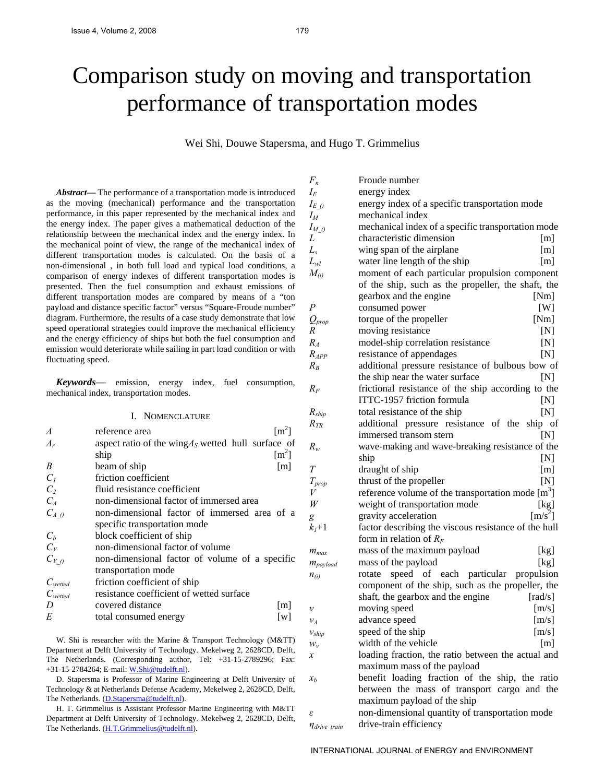# Comparison study on moving and transportation performance of transportation modes

Wei Shi, Douwe Stapersma, and Hugo T. Grimmelius

*Abstract***—** The performance of a transportation mode is introduced as the moving (mechanical) performance and the transportation performance, in this paper represented by the mechanical index and the energy index. The paper gives a mathematical deduction of the relationship between the mechanical index and the energy index. In the mechanical point of view, the range of the mechanical index of different transportation modes is calculated. On the basis of a non-dimensional , in both full load and typical load conditions, a comparison of energy indexes of different transportation modes is presented. Then the fuel consumption and exhaust emissions of different transportation modes are compared by means of a "ton payload and distance specific factor" versus "Square-Froude number" diagram. Furthermore, the results of a case study demonstrate that low speed operational strategies could improve the mechanical efficiency and the energy efficiency of ships but both the fuel consumption and emission would deteriorate while sailing in part load condition or with fluctuating speed.

*Keywords***—** emission, energy index, fuel consumption, mechanical index, transportation modes.

#### I. NOMENCLATURE

| A              | $\lceil m^2 \rceil$<br>reference area                |  |
|----------------|------------------------------------------------------|--|
| $A_r$          | aspect ratio of the wing $AS$ wetted hull surface of |  |
|                | $\lceil m^2 \rceil$<br>ship                          |  |
| B              | beam of ship<br>$\lceil m \rceil$                    |  |
| $C_I$          | friction coefficient                                 |  |
| C <sub>2</sub> | fluid resistance coefficient                         |  |
| $C_{A}$        | non-dimensional factor of immersed area              |  |
| $C_{A_0}$      | non-dimensional factor of immersed area of a         |  |
|                | specific transportation mode                         |  |
| $C_b$          | block coefficient of ship                            |  |
| $C_V$          | non-dimensional factor of volume                     |  |
| $C_{V,0}$      | non-dimensional factor of volume of a specific       |  |
|                | transportation mode                                  |  |
| $C_{wetted}$   | friction coefficient of ship                         |  |
| $C_{wetted}$   | resistance coefficient of wetted surface             |  |
| D              | covered distance<br>[m]                              |  |
| E              | total consumed energy<br>[w]                         |  |

W. Shi is researcher with the Marine & Transport Technology (M&TT) Department at Delft University of Technology. Mekelweg 2, 2628CD, Delft, The Netherlands. (Corresponding author, Tel: +31-15-2789296; Fax: +31-15-2784264; E-mail: [W.Shi@tudelft.nl](mailto:W.Shi@tudelft.nl)).

D. Stapersma is Professor of Marine Engineering at Delft University of Technology & at Netherlands Defense Academy, Mekelweg 2, 2628CD, Delft, The Netherlands. [\(D.Stapersma@tudelft.nl\)](mailto:D.Stapersma@tudelft.nl).

H. T. Grimmelius is Assistant Professor Marine Engineering with M&TT Department at Delft University of Technology. Mekelweg 2, 2628CD, Delft, The Netherlands. [\(H.T.Grimmelius@tudelft.nl](mailto:H.T.Grimmelius@tudelft.nl)).

| $F_n$                | Froude number                                                     |
|----------------------|-------------------------------------------------------------------|
| $I_{E}$              | energy index                                                      |
| $I_{E,0}$            | energy index of a specific transportation mode                    |
| $I_M$                | mechanical index                                                  |
| $I_{M,0}$            | mechanical index of a specific transportation mode                |
| L                    | characteristic dimension<br> m                                    |
| $L_{s}$              | wing span of the airplane<br>[m]                                  |
| $L_{wl}$             | water line length of the ship<br>[m]                              |
| $M_{(i)}$            | moment of each particular propulsion component                    |
|                      | of the ship, such as the propeller, the shaft, the                |
|                      | gearbox and the engine<br>[Nm]                                    |
| $\boldsymbol{P}$     | $\lceil W \rceil$<br>consumed power                               |
| $Q_{prop}$           | torque of the propeller<br>[Nm]                                   |
| R                    | moving resistance<br>[N]                                          |
| $R_A$                | model-ship correlation resistance<br>$[{\rm N}]$                  |
| $R_{APP}$            | resistance of appendages<br>[N]                                   |
| $R_B$                | additional pressure resistance of bulbous bow of                  |
|                      | the ship near the water surface<br>[N]                            |
| $R_F$                | frictional resistance of the ship according to the                |
|                      | ITTC-1957 friction formula<br>[N]                                 |
| $R_{ship}$           | total resistance of the ship<br>[N]                               |
| $R_{TR}$             | additional pressure resistance of the<br>ship of                  |
|                      | immersed transom stern<br>[N]                                     |
| $R_{w}$              | wave-making and wave-breaking resistance of the                   |
|                      | [N]<br>ship                                                       |
| T                    | draught of ship<br>[m]                                            |
| $T_{prop}$           | [N]<br>thrust of the propeller                                    |
| V                    | reference volume of the transportation mode $[m3]$                |
| W                    | weight of transportation mode<br>[kg]                             |
| g                    | $\left[\text{m/s}^2\right]$<br>gravity acceleration               |
| $k_l+1$              | factor describing the viscous resistance of the hull              |
|                      | form in relation of $R_F$                                         |
| $m_{max}$            | mass of the maximum payload<br>[kg]                               |
| $m_{payload}$        | mass of the payload<br>[kg]                                       |
| $n_{(i)}$            | speed of each particular propulsion<br>rotate                     |
|                      | component of the ship, such as the propeller, the                 |
|                      | shaft, the gearbox and the engine<br>$\lceil \text{rad/s} \rceil$ |
| ν                    | moving speed<br>[m/s]                                             |
| $v_A$                | advance speed<br>[m/s]                                            |
| $v_{ship}$           | speed of the ship<br>[m/s]                                        |
| $W_v$                | width of the vehicle<br>[m]                                       |
| x                    | loading fraction, the ratio between the actual and                |
|                      | maximum mass of the payload                                       |
| $x_b$                | benefit loading fraction of the ship, the ratio                   |
|                      | between the mass of transport cargo and the                       |
|                      | maximum payload of the ship                                       |
| ε                    | non-dimensional quantity of transportation mode                   |
| $\eta_{drive}$ train | drive-train efficiency                                            |

INTERNATIONAL JOURNAL of ENERGY and ENVIRONMENT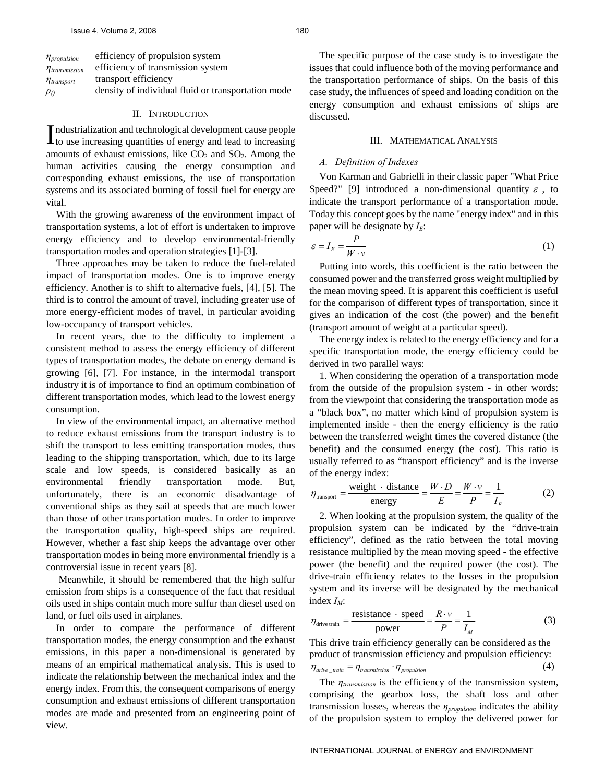| $\eta_{propulsion}$            | efficiency of propulsion system                    |
|--------------------------------|----------------------------------------------------|
| $\eta$ <sub>transmission</sub> | efficiency of transmission system                  |
| $\eta_{\text{transport}}$      | transport efficiency                               |
| $\rho_{0}$                     | density of individual fluid or transportation mode |

#### II. INTRODUCTION

ndustrialization and technological development cause people  $\prod$ ndustrialization and technological development cause people<br>to use increasing quantities of energy and lead to increasing amounts of exhaust emissions, like  $CO<sub>2</sub>$  and  $SO<sub>2</sub>$ . Among the human activities causing the energy consumption and corresponding exhaust emissions, the use of transportation systems and its associated burning of fossil fuel for energy are vital.

With the growing awareness of the environment impact of transportation systems, a lot of effort is undertaken to improve energy efficiency and to develop environmental-friendly transportation modes and operation strategies [1]-[3].

Three approaches may be taken to reduce the fuel-related impact of transportation modes. One is to improve energy efficiency. Another is to shift to alternative fuels, [4], [5]. The third is to control the amount of travel, including greater use of more energy-efficient modes of travel, in particular avoiding low-occupancy of transport vehicles.

In recent years, due to the difficulty to implement a consistent method to assess the energy efficiency of different types of transportation modes, the debate on energy demand is growing [6], [7]. For instance, in the intermodal transport industry it is of importance to find an optimum combination of different transportation modes, which lead to the lowest energy consumption.

In view of the environmental impact, an alternative method to reduce exhaust emissions from the transport industry is to shift the transport to less emitting transportation modes, thus leading to the shipping transportation, which, due to its large scale and low speeds, is considered basically as an environmental friendly transportation mode. But, unfortunately, there is an economic disadvantage of conventional ships as they sail at speeds that are much lower than those of other transportation modes. In order to improve the transportation quality, high-speed ships are required. However, whether a fast ship keeps the advantage over other transportation modes in being more environmental friendly is a controversial issue in recent years [8].

 Meanwhile, it should be remembered that the high sulfur emission from ships is a consequence of the fact that residual oils used in ships contain much more sulfur than diesel used on land, or fuel oils used in airplanes.

In order to compare the performance of different transportation modes, the energy consumption and the exhaust emissions, in this paper a non-dimensional is generated by means of an empirical mathematical analysis. This is used to indicate the relationship between the mechanical index and the energy index. From this, the consequent comparisons of energy consumption and exhaust emissions of different transportation modes are made and presented from an engineering point of view.

The specific purpose of the case study is to investigate the issues that could influence both of the moving performance and the transportation performance of ships. On the basis of this case study, the influences of speed and loading condition on the energy consumption and exhaust emissions of ships are discussed.

### III. MATHEMATICAL ANALYSIS

# *A. Definition of Indexes*

Von Karman and Gabrielli in their classic paper "What Price Speed?" [9] introduced a non-dimensional quantity  $\varepsilon$ , to indicate the transport performance of a transportation mode. Today this concept goes by the name "energy index" and in this paper will be designate by  $I_E$ :

$$
\varepsilon = I_E = \frac{P}{W \cdot v} \tag{1}
$$

Putting into words, this coefficient is the ratio between the consumed power and the transferred gross weight multiplied by the mean moving speed. It is apparent this coefficient is useful for the comparison of different types of transportation, since it gives an indication of the cost (the power) and the benefit (transport amount of weight at a particular speed).

The energy index is related to the energy efficiency and for a specific transportation mode, the energy efficiency could be derived in two parallel ways:

1. When considering the operation of a transportation mode from the outside of the propulsion system - in other words: from the viewpoint that considering the transportation mode as a "black box", no matter which kind of propulsion system is implemented inside - then the energy efficiency is the ratio between the transferred weight times the covered distance (the benefit) and the consumed energy (the cost). This ratio is usually referred to as "transport efficiency" and is the inverse of the energy index:

$$
\eta_{\text{transport}} = \frac{\text{weight} \cdot \text{distance}}{\text{energy}} = \frac{W \cdot D}{E} = \frac{W \cdot v}{P} = \frac{1}{I_E} \tag{2}
$$

2. When looking at the propulsion system, the quality of the propulsion system can be indicated by the "drive-train efficiency", defined as the ratio between the total moving resistance multiplied by the mean moving speed - the effective power (the benefit) and the required power (the cost). The drive-train efficiency relates to the losses in the propulsion system and its inverse will be designated by the mechanical index  $I_M$ :

$$
\eta_{\text{drive train}} = \frac{\text{resistance} \cdot \text{speed}}{\text{power}} = \frac{R \cdot v}{P} = \frac{1}{I_M} \tag{3}
$$

This drive train efficiency generally can be considered as the product of transmission efficiency and propulsion efficiency:  $\eta_{\text{drive}\_\text{train}} = \eta_{\text{transmission}} \cdot \eta_{\text{proputation}}$  (4)

The *ηtransmission* is the efficiency of the transmission system, comprising the gearbox loss, the shaft loss and other transmission losses, whereas the *ηpropulsion* indicates the ability of the propulsion system to employ the delivered power for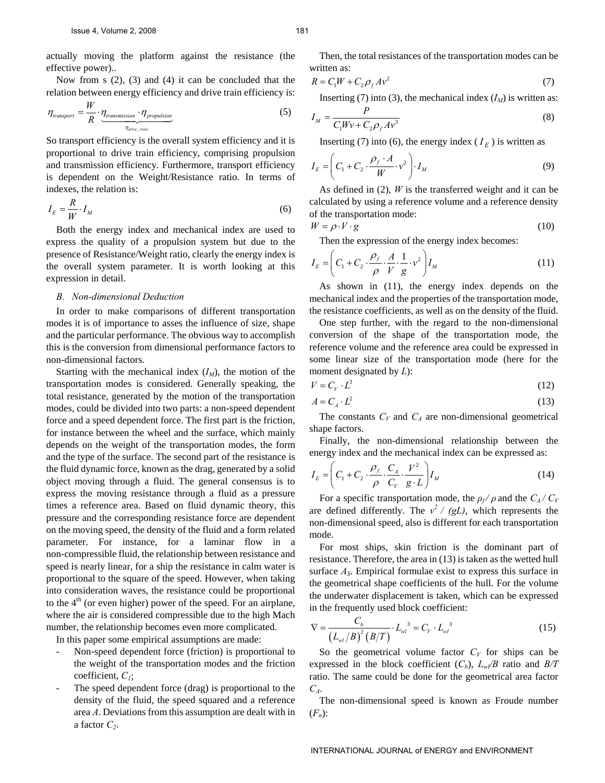actually moving the platform against the resistance (the effective power)..

Now from s (2), (3) and (4) it can be concluded that the relation between energy efficiency and drive train efficiency is:

$$
\eta_{\text{transport}} = \frac{W}{R} \cdot \underbrace{\eta_{\text{transmission}} \cdot \eta_{\text{proputation}}}_{\eta_{\text{drive, train}}}
$$
(5)

So transport efficiency is the overall system efficiency and it is proportional to drive train efficiency, comprising propulsion and transmission efficiency. Furthermore, transport efficiency is dependent on the Weight/Resistance ratio. In terms of indexes, the relation is:

$$
I_E = \frac{R}{W} \cdot I_M \tag{6}
$$

Both the energy index and mechanical index are used to express the quality of a propulsion system but due to the presence of Resistance/Weight ratio, clearly the energy index is the overall system parameter. It is worth looking at this expression in detail.

#### *B. Non-dimensional Deduction*

In order to make comparisons of different transportation modes it is of importance to asses the influence of size, shape and the particular performance. The obvious way to accomplish this is the conversion from dimensional performance factors to non-dimensional factors.

Starting with the mechanical index  $(I_M)$ , the motion of the transportation modes is considered. Generally speaking, the total resistance, generated by the motion of the transportation modes, could be divided into two parts: a non-speed dependent force and a speed dependent force. The first part is the friction, for instance between the wheel and the surface, which mainly depends on the weight of the transportation modes, the form and the type of the surface. The second part of the resistance is the fluid dynamic force, known as the drag, generated by a solid object moving through a fluid. The general consensus is to express the moving resistance through a fluid as a pressure times a reference area. Based on fluid dynamic theory, this pressure and the corresponding resistance force are dependent on the moving speed, the density of the fluid and a form related parameter. For instance, for a laminar flow in a non-compressible fluid, the relationship between resistance and speed is nearly linear, for a ship the resistance in calm water is proportional to the square of the speed. However, when taking into consideration waves, the resistance could be proportional to the  $4<sup>th</sup>$  (or even higher) power of the speed. For an airplane, where the air is considered compressible due to the high Mach number, the relationship becomes even more complicated.

In this paper some empirical assumptions are made:

- Non-speed dependent force (friction) is proportional to the weight of the transportation modes and the friction coefficient, *C1*;
- The speed dependent force (drag) is proportional to the density of the fluid, the speed squared and a reference area *A*. Deviations from this assumption are dealt with in a factor *C2*.

Then, the total resistances of the transportation modes can be

written as:  
\n
$$
R = C_1 W + C_2 \rho_f A v^2
$$
\n(7)

Inserting (7) into (3), the mechanical index  $(I_M)$  is written as:

$$
I_M = \frac{P}{C_1 W v + C_2 \rho_f A v^3}
$$
\n<sup>(8)</sup>

Inserting (7) into (6), the energy index ( $I<sub>E</sub>$ ) is written as

$$
I_E = \left(C_1 + C_2 \cdot \frac{\rho_f \cdot A}{W} \cdot v^2\right) \cdot I_M \tag{9}
$$

As defined in (2), *W* is the transferred weight and it can be calculated by using a reference volume and a reference density of the transportation mode:

$$
W = \rho \cdot V \cdot g \tag{10}
$$

Then the expression of the energy index becomes:

$$
I_E = \left(C_1 + C_2 \cdot \frac{\rho_f}{\rho} \cdot \frac{A}{V} \cdot \frac{1}{g} \cdot v^2\right) I_M
$$
\n(11)

As shown in (11), the energy index depends on the mechanical index and the properties of the transportation mode, the resistance coefficients, as well as on the density of the fluid.

One step further, with the regard to the non-dimensional conversion of the shape of the transportation mode, the reference volume and the reference area could be expressed in some linear size of the transportation mode (here for the moment designated by *L*):

$$
V = C_V \cdot L^3 \tag{12}
$$

$$
A = C_A \cdot L^2 \tag{13}
$$

The constants  $C_V$  and  $C_A$  are non-dimensional geometrical shape factors.

Finally, the non-dimensional relationship between the energy index and the mechanical index can be expressed as:

$$
I_E = \left(C_1 + C_2 \cdot \frac{\rho_f}{\rho} \cdot \frac{C_A}{C_V} \cdot \frac{V^2}{g \cdot L}\right) I_M \tag{14}
$$

For a specific transportation mode, the  $\rho_f / \rho$  and the  $C_A / C_V$ are defined differently. The  $v^2 / (gL)$ , which represents the non-dimensional speed, also is different for each transportation mode.

For most ships, skin friction is the dominant part of resistance. Therefore, the area in (13) is taken as the wetted hull surface  $A<sub>S</sub>$ . Empirical formulae exist to express this surface in the geometrical shape coefficients of the hull. For the volume the underwater displacement is taken, which can be expressed in the frequently used block coefficient:

$$
\nabla = \frac{C_b}{(L_{wl}/B)^2 (B/T)} \cdot L_{wl}^{3} = C_V \cdot L_{wl}^{3}
$$
 (15)

So the geometrical volume factor  $C_V$  for ships can be expressed in the block coefficient  $(C_b)$ ,  $L_w/B$  ratio and  $B/T$ ratio. The same could be done for the geometrical area factor *CA*.

The non-dimensional speed is known as Froude number  $(F_n)$ :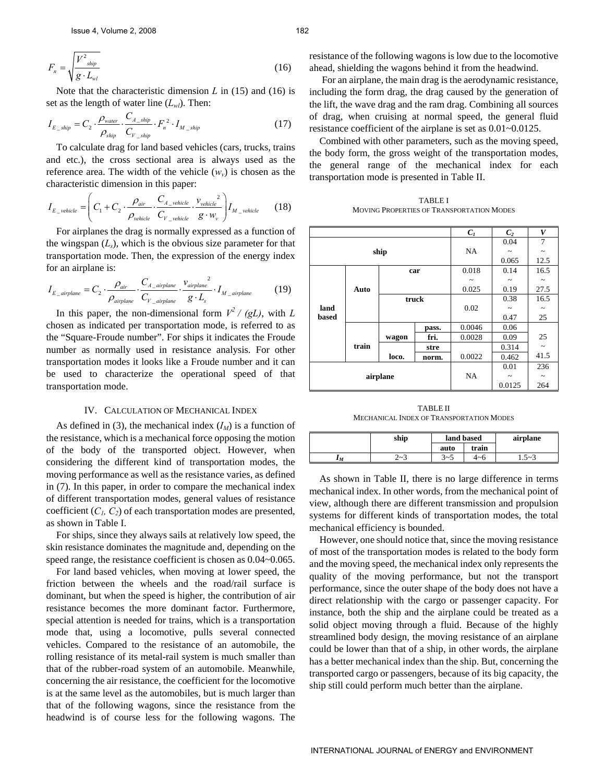$$
F_n = \sqrt{\frac{V^2_{\text{ship}}}{g \cdot L_{\text{wl}}}}
$$
(16)

Note that the characteristic dimension *L* in (15) and (16) is set as the length of water line  $(L_w)$ . Then:

$$
I_{E\_ship} = C_2 \cdot \frac{\rho_{water}}{\rho_{ship}} \cdot \frac{C_{A\_ship}}{C_{V\_ship}} \cdot F_n^2 \cdot I_{M\_ship}
$$
 (17)

To calculate drag for land based vehicles (cars, trucks, trains and etc.), the cross sectional area is always used as the reference area. The width of the vehicle  $(w_v)$  is chosen as the characteristic dimension in this paper:

$$
I_{E\_vehicle} = \left(C_1 + C_2 \cdot \frac{\rho_{air}}{\rho_{vehicle}} \cdot \frac{C_{A\_while}}{C_{V\_while}} \cdot \frac{v_{vehicle}}{g \cdot w_v}\right) I_{M\_vehicle}
$$
(18)

For airplanes the drag is normally expressed as a function of the wingspan  $(L_s)$ , which is the obvious size parameter for that transportation mode. Then, the expression of the energy index for an airplane is:

$$
I_{E\_airplane} = C_2 \cdot \frac{\rho_{air}}{\rho_{airplane}} \cdot \frac{C_{A\_airplane}}{C_{V\_airplane}} \cdot \frac{v_{airplane}}{g \cdot L_s} \cdot I_{M\_airplane}
$$
(19)

In this paper, the non-dimensional form  $V^2 / (gL)$ , with *L* chosen as indicated per transportation mode, is referred to as the "Square-Froude number". For ships it indicates the Froude number as normally used in resistance analysis. For other transportation modes it looks like a Froude number and it can be used to characterize the operational speed of that transportation mode.

# IV. CALCULATION OF MECHANICAL INDEX

As defined in (3), the mechanical index  $(I_M)$  is a function of the resistance, which is a mechanical force opposing the motion of the body of the transported object. However, when considering the different kind of transportation modes, the moving performance as well as the resistance varies, as defined in (7). In this paper, in order to compare the mechanical index of different transportation modes, general values of resistance coefficient  $(C_1, C_2)$  of each transportation modes are presented, as shown in Table I.

For ships, since they always sails at relatively low speed, the skin resistance dominates the magnitude and, depending on the speed range, the resistance coefficient is chosen as 0.04~0.065.

For land based vehicles, when moving at lower speed, the friction between the wheels and the road/rail surface is dominant, but when the speed is higher, the contribution of air resistance becomes the more dominant factor. Furthermore, special attention is needed for trains, which is a transportation mode that, using a locomotive, pulls several connected vehicles. Compared to the resistance of an automobile, the rolling resistance of its metal-rail system is much smaller than that of the rubber-road system of an automobile. Meanwhile, concerning the air resistance, the coefficient for the locomotive is at the same level as the automobiles, but is much larger than that of the following wagons, since the resistance from the headwind is of course less for the following wagons. The

resistance of the following wagons is low due to the locomotive ahead, shielding the wagons behind it from the headwind.

 For an airplane, the main drag is the aerodynamic resistance, including the form drag, the drag caused by the generation of the lift, the wave drag and the ram drag. Combining all sources of drag, when cruising at normal speed, the general fluid resistance coefficient of the airplane is set as 0.01~0.0125.

Combined with other parameters, such as the moving speed, the body form, the gross weight of the transportation modes, the general range of the mechanical index for each transportation mode is presented in Table II.

TABLE I MOVING PROPERTIES OF TRANSPORTATION MODES

|          |       |       |           | $C_I$                 | C <sub>2</sub>        | V          |
|----------|-------|-------|-----------|-----------------------|-----------------------|------------|
|          |       |       |           |                       | 0.04                  | 7          |
|          |       | ship  | <b>NA</b> | $\tilde{\phantom{a}}$ | $\tilde{}$            |            |
|          |       |       |           |                       | 0.065                 | 12.5       |
|          |       |       | car       | 0.018                 | 0.14                  | 16.5       |
|          |       |       |           |                       |                       |            |
|          | Auto  |       |           | 0.025                 | 0.19                  | 27.5       |
|          |       | truck |           |                       | 0.38                  | 16.5       |
| land     |       |       |           | 0.02                  | $\tilde{\phantom{a}}$ | $\tilde{}$ |
| based    |       |       |           |                       | 0.47                  | 25         |
|          |       |       | pass.     | 0.0046                | 0.06                  |            |
|          |       | wagon | fri.      | 0.0028                | 0.09                  | 25         |
|          | train |       | stre      |                       | 0.314                 | $\sim$     |
|          |       | loco. | norm.     | 0.0022                | 0.462                 | 41.5       |
|          |       |       |           |                       | 0.01                  | 236        |
| airplane |       |       | <b>NA</b> | $\tilde{}$            | $\thicksim$           |            |
|          |       |       |           | 0.0125                | 264                   |            |

TABLE II MECHANICAL INDEX OF TRANSPORTATION MODES

|       | ship       | land based |       | airplane  |
|-------|------------|------------|-------|-----------|
|       |            | auto       | train |           |
| $I_M$ | റ -<br>د~ے | $3 - 5$    | 4~6   | $1.5 - 3$ |

As shown in Table II, there is no large difference in terms mechanical index. In other words, from the mechanical point of view, although there are different transmission and propulsion systems for different kinds of transportation modes, the total mechanical efficiency is bounded.

However, one should notice that, since the moving resistance of most of the transportation modes is related to the body form and the moving speed, the mechanical index only represents the quality of the moving performance, but not the transport performance, since the outer shape of the body does not have a direct relationship with the cargo or passenger capacity. For instance, both the ship and the airplane could be treated as a solid object moving through a fluid. Because of the highly streamlined body design, the moving resistance of an airplane could be lower than that of a ship, in other words, the airplane has a better mechanical index than the ship. But, concerning the transported cargo or passengers, because of its big capacity, the ship still could perform much better than the airplane.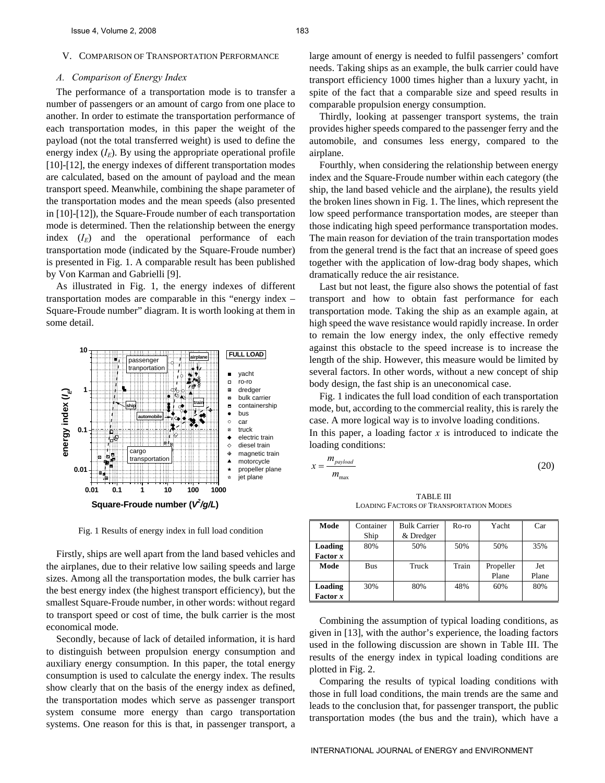#### *A. Comparison of Energy Index*

The performance of a transportation mode is to transfer a number of passengers or an amount of cargo from one place to another. In order to estimate the transportation performance of each transportation modes, in this paper the weight of the payload (not the total transferred weight) is used to define the energy index  $(I<sub>E</sub>)$ . By using the appropriate operational profile [10]-[12], the energy indexes of different transportation modes are calculated, based on the amount of payload and the mean transport speed. Meanwhile, combining the shape parameter of the transportation modes and the mean speeds (also presented in [10]-[12]), the Square-Froude number of each transportation mode is determined. Then the relationship between the energy index  $(I_E)$  and the operational performance of each transportation mode (indicated by the Square-Froude number) is presented in Fig. 1. A comparable result has been published by Von Karman and Gabrielli [9].

As illustrated in Fig. 1, the energy indexes of different transportation modes are comparable in this "energy index – Square-Froude number" diagram. It is worth looking at them in some detail.



Fig. 1 Results of energy index in full load condition

Firstly, ships are well apart from the land based vehicles and the airplanes, due to their relative low sailing speeds and large sizes. Among all the transportation modes, the bulk carrier has the best energy index (the highest transport efficiency), but the smallest Square-Froude number, in other words: without regard to transport speed or cost of time, the bulk carrier is the most economical mode.

Secondly, because of lack of detailed information, it is hard to distinguish between propulsion energy consumption and auxiliary energy consumption. In this paper, the total energy consumption is used to calculate the energy index. The results show clearly that on the basis of the energy index as defined, the transportation modes which serve as passenger transport system consume more energy than cargo transportation systems. One reason for this is that, in passenger transport, a

large amount of energy is needed to fulfil passengers' comfort needs. Taking ships as an example, the bulk carrier could have transport efficiency 1000 times higher than a luxury yacht, in spite of the fact that a comparable size and speed results in comparable propulsion energy consumption.

Thirdly, looking at passenger transport systems, the train provides higher speeds compared to the passenger ferry and the automobile, and consumes less energy, compared to the airplane.

Fourthly, when considering the relationship between energy index and the Square-Froude number within each category (the ship, the land based vehicle and the airplane), the results yield the broken lines shown in Fig. 1. The lines, which represent the low speed performance transportation modes, are steeper than those indicating high speed performance transportation modes. The main reason for deviation of the train transportation modes from the general trend is the fact that an increase of speed goes together with the application of low-drag body shapes, which dramatically reduce the air resistance.

Last but not least, the figure also shows the potential of fast transport and how to obtain fast performance for each transportation mode. Taking the ship as an example again, at high speed the wave resistance would rapidly increase. In order to remain the low energy index, the only effective remedy against this obstacle to the speed increase is to increase the length of the ship. However, this measure would be limited by several factors. In other words, without a new concept of ship body design, the fast ship is an uneconomical case.

Fig. 1 indicates the full load condition of each transportation mode, but, according to the commercial reality, this is rarely the case. A more logical way is to involve loading conditions.

In this paper, a loading factor *x* is introduced to indicate the loading conditions:

 $m_{\text{max}}$  $r - \frac{m_{payload}}{m}$  $=\frac{m_{\text{payload}}}{m_{\text{max}}}$  (20)

TABLE III LOADING FACTORS OF TRANSPORTATION MODES

| Mode     | Container  | <b>Bulk Carrier</b> | Ro-ro      | Yacht     | Car   |
|----------|------------|---------------------|------------|-----------|-------|
|          | Ship       | & Dredger           |            |           |       |
| Loading  | 80%        | 50%                 | 50%<br>50% |           | 35%   |
| Factor x |            |                     |            |           |       |
| Mode     | <b>Bus</b> | Truck               | Train      | Propeller | Jet   |
|          |            |                     |            | Plane     | Plane |
| Loading  | 30%        | 80%                 | 48%        | 60%       | 80%   |
| Factor x |            |                     |            |           |       |

Combining the assumption of typical loading conditions, as given in [13], with the author's experience, the loading factors used in the following discussion are shown in Table III. The results of the energy index in typical loading conditions are plotted in Fig. 2.

Comparing the results of typical loading conditions with those in full load conditions, the main trends are the same and leads to the conclusion that, for passenger transport, the public transportation modes (the bus and the train), which have a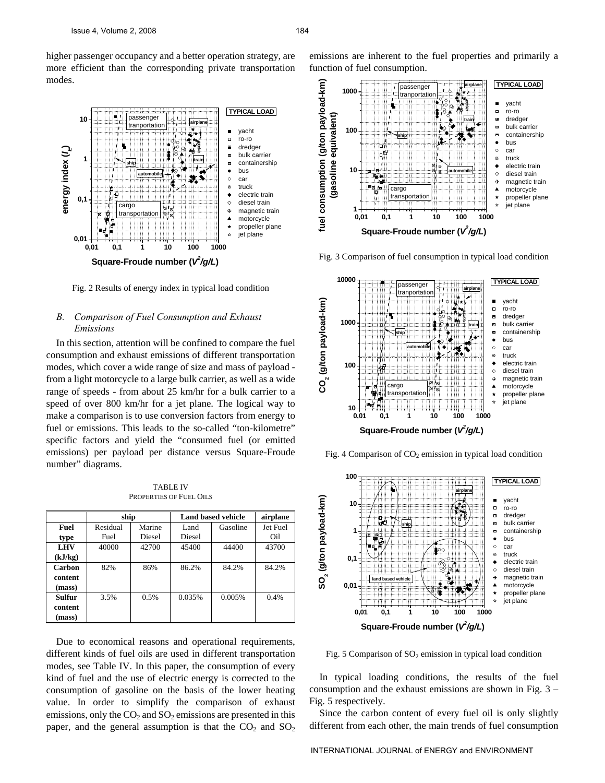higher passenger occupancy and a better operation strategy, are more efficient than the corresponding private transportation modes.



Fig. 2 Results of energy index in typical load condition

# *B. Comparison of Fuel Consumption and Exhaust Emissions*

In this section, attention will be confined to compare the fuel consumption and exhaust emissions of different transportation modes, which cover a wide range of size and mass of payload from a light motorcycle to a large bulk carrier, as well as a wide range of speeds - from about 25 km/hr for a bulk carrier to a speed of over 800 km/hr for a jet plane. The logical way to make a comparison is to use conversion factors from energy to fuel or emissions. This leads to the so-called "ton-kilometre" specific factors and yield the "consumed fuel (or emitted emissions) per payload per distance versus Square-Froude number" diagrams.

TABLE IV PROPERTIES OF FUEL OILS

|            | ship       |        | <b>Land based vehicle</b> | airplane |          |
|------------|------------|--------|---------------------------|----------|----------|
| Fuel       | Residual   | Marine | Land                      | Gasoline | Jet Fuel |
| type       | Fuel       | Diesel | Diesel                    |          | Oil      |
| <b>LHV</b> | 40000      | 42700  | 45400                     | 44400    | 43700    |
| (kJ/kg)    |            |        |                           |          |          |
| Carbon     | 82%<br>86% |        | 86.2%                     | 84.2%    | 84.2%    |
| content    |            |        |                           |          |          |
| (mass)     |            |        |                           |          |          |
| Sulfur     | 3.5%       | 0.5%   | 0.035%<br>0.005%          |          | 0.4%     |
| content    |            |        |                           |          |          |
| (mass)     |            |        |                           |          |          |

Due to economical reasons and operational requirements, different kinds of fuel oils are used in different transportation modes, see Table IV. In this paper, the consumption of every kind of fuel and the use of electric energy is corrected to the consumption of gasoline on the basis of the lower heating value. In order to simplify the comparison of exhaust emissions, only the  $CO<sub>2</sub>$  and  $SO<sub>2</sub>$  emissions are presented in this paper, and the general assumption is that the  $CO<sub>2</sub>$  and  $SO<sub>2</sub>$ 

emissions are inherent to the fuel properties and primarily a function of fuel consumption.



Fig. 3 Comparison of fuel consumption in typical load condition



Fig. 4 Comparison of  $CO<sub>2</sub>$  emission in typical load condition



Fig. 5 Comparison of  $SO_2$  emission in typical load condition

In typical loading conditions, the results of the fuel consumption and the exhaust emissions are shown in Fig. 3 – Fig. 5 respectively.

Since the carbon content of every fuel oil is only slightly different from each other, the main trends of fuel consumption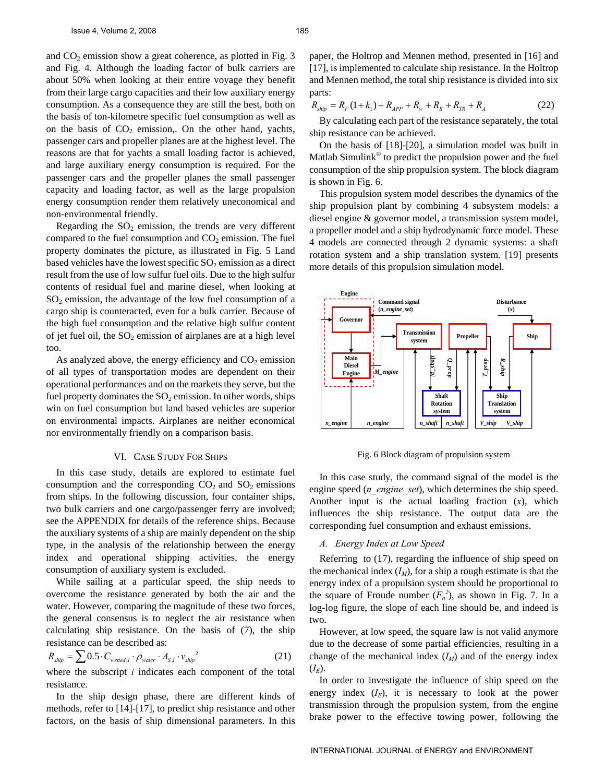and  $CO<sub>2</sub>$  emission show a great coherence, as plotted in Fig. 3 and Fig. 4. Although the loading factor of bulk carriers are about 50% when looking at their entire voyage they benefit from their large cargo capacities and their low auxiliary energy consumption. As a consequence they are still the best, both on the basis of ton-kilometre specific fuel consumption as well as on the basis of  $CO<sub>2</sub>$  emission,. On the other hand, yachts, passenger cars and propeller planes are at the highest level. The reasons are that for yachts a small loading factor is achieved, and large auxiliary energy consumption is required. For the passenger cars and the propeller planes the small passenger capacity and loading factor, as well as the large propulsion energy consumption render them relatively uneconomical and non-environmental friendly.

Regarding the  $SO_2$  emission, the trends are very different compared to the fuel consumption and  $CO<sub>2</sub>$  emission. The fuel property dominates the picture, as illustrated in Fig. 5 Land based vehicles have the lowest specific  $SO_2$  emission as a direct result from the use of low sulfur fuel oils. Due to the high sulfur contents of residual fuel and marine diesel, when looking at  $SO<sub>2</sub>$  emission, the advantage of the low fuel consumption of a cargo ship is counteracted, even for a bulk carrier. Because of the high fuel consumption and the relative high sulfur content of jet fuel oil, the  $SO_2$  emission of airplanes are at a high level too.

As analyzed above, the energy efficiency and  $CO<sub>2</sub>$  emission of all types of transportation modes are dependent on their operational performances and on the markets they serve, but the fuel property dominates the  $SO_2$  emission. In other words, ships win on fuel consumption but land based vehicles are superior on environmental impacts. Airplanes are neither economical nor environmentally friendly on a comparison basis.

#### VI. CASE STUDY FOR SHIPS

In this case study, details are explored to estimate fuel consumption and the corresponding  $CO<sub>2</sub>$  and  $SO<sub>2</sub>$  emissions from ships. In the following discussion, four container ships, two bulk carriers and one cargo/passenger ferry are involved; see the APPENDIX for details of the reference ships. Because the auxiliary systems of a ship are mainly dependent on the ship type, in the analysis of the relationship between the energy index and operational shipping activities, the energy consumption of auxiliary system is excluded.

While sailing at a particular speed, the ship needs to overcome the resistance generated by both the air and the water. However, comparing the magnitude of these two forces, the general consensus is to neglect the air resistance when calculating ship resistance. On the basis of (7), the ship resistance can be described as: 2

$$
R_{ship} = \sum 0.5 \cdot C_{wetted,i} \cdot \rho_{water} \cdot A_{S,i} \cdot v_{ship}^{2}
$$
 (21)

where the subscript *i* indicates each component of the total resistance.

In the ship design phase, there are different kinds of methods, refer to [14]-[17], to predict ship resistance and other factors, on the basis of ship dimensional parameters. In this

paper, the Holtrop and Mennen method, presented in [16] and [17], is implemented to calculate ship resistance. In the Holtrop and Mennen method, the total ship resistance is divided into six parts:

$$
R_{\text{ship}} = R_F (1 + k_1) + R_{\text{APP}} + R_w + R_B + R_{\text{TR}} + R_A \tag{22}
$$

By calculating each part of the resistance separately, the total ship resistance can be achieved.

On the basis of [18]-[20], a simulation model was built in Matlab Simulink® to predict the propulsion power and the fuel consumption of the ship propulsion system. The block diagram is shown in Fig. 6.

This propulsion system model describes the dynamics of the ship propulsion plant by combining 4 subsystem models: a diesel engine & governor model, a transmission system model, a propeller model and a ship hydrodynamic force model. These 4 models are connected through 2 dynamic systems: a shaft rotation system and a ship translation system. [19] presents more details of this propulsion simulation model.



Fig. 6 Block diagram of propulsion system

In this case study, the command signal of the model is the engine speed (*n\_engine\_set*), which determines the ship speed. Another input is the actual loading fraction (*x*), which influences the ship resistance. The output data are the corresponding fuel consumption and exhaust emissions.

#### *A. Energy Index at Low Speed*

Referring to (17), regarding the influence of ship speed on the mechanical index  $(I_M)$ , for a ship a rough estimate is that the energy index of a propulsion system should be proportional to the square of Froude number  $(F_n^2)$ , as shown in Fig. 7. In a log-log figure, the slope of each line should be, and indeed is two.

However, at low speed, the square law is not valid anymore due to the decrease of some partial efficiencies, resulting in a change of the mechanical index  $(I_M)$  and of the energy index  $(I_E)$ .

In order to investigate the influence of ship speed on the energy index  $(I_E)$ , it is necessary to look at the power transmission through the propulsion system, from the engine brake power to the effective towing power, following the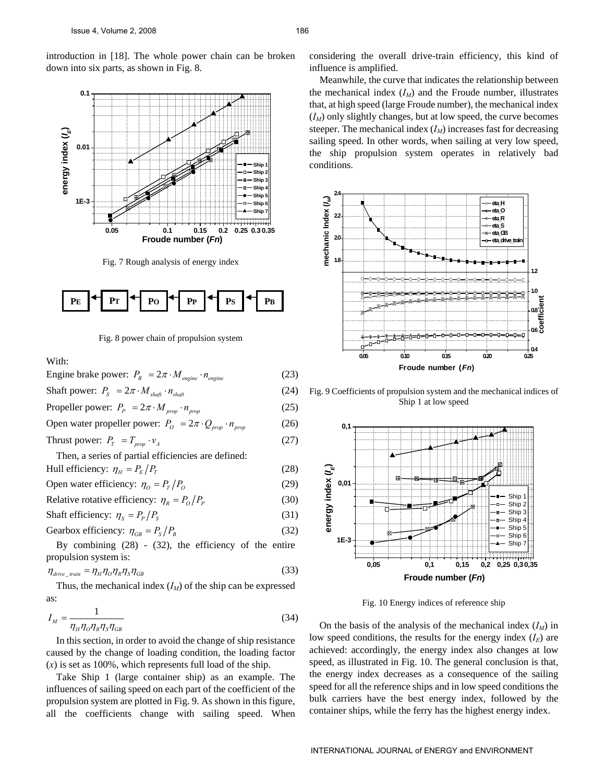introduction in [18]. The whole power chain can be broken down into six parts, as shown in Fig. 8.



Fig. 7 Rough analysis of energy index



Fig. 8 power chain of propulsion system

With:

| Engine brake power: $P_B = 2\pi \cdot M_{\text{engine}} \cdot n_{\text{engine}}$                                       | (23) |
|------------------------------------------------------------------------------------------------------------------------|------|
| Shaft power: $P_S = 2\pi \cdot M_{\text{shafi}} \cdot n_{\text{shafi}}$                                                | (24) |
| Propeller power: $P_p = 2\pi \cdot M_{prop} \cdot n_{prop}$                                                            | (25) |
| Open water propeller power: $P_0 = 2\pi \cdot Q_{\text{prop}} \cdot n_{\text{prop}}$                                   | (26) |
| Thrust power: $P_T = T_{\text{prop}} \cdot v_A$                                                                        | (27) |
| Then, a series of partial efficiencies are defined:                                                                    |      |
| Hull efficiency: $\eta_{H} = P_{E}/P_{T}$                                                                              | (28) |
| Open water efficiency: $\eta_{0} = P_{T}/P_{0}$                                                                        | (29) |
| Relative rotative efficiency: $\eta_R = P_o/P_p$                                                                       | (30) |
| Shaft efficiency: $\eta_s = P_p/P_s$                                                                                   | (31) |
| Gearbox efficiency: $\eta_{GB} = P_s/P_R$                                                                              | (32) |
| By combining $(28)$ - $(32)$ , the efficiency of the entire                                                            |      |
| propulsion system is:                                                                                                  |      |
| $\eta_{\text{drive}\_\text{train}} = \eta_{\text{H}} \eta_{\text{O}} \eta_{\text{R}} \eta_{\text{S}} \eta_{\text{GB}}$ | (33) |

Thus, the mechanical index  $(I_M)$  of the ship can be expressed as:

$$
I_M = \frac{1}{\eta_H \eta_O \eta_R \eta_S \eta_{GB}}\tag{34}
$$

In this section, in order to avoid the change of ship resistance caused by the change of loading condition, the loading factor (*x*) is set as 100%, which represents full load of the ship.

Take Ship 1 (large container ship) as an example. The influences of sailing speed on each part of the coefficient of the propulsion system are plotted in Fig. 9. As shown in this figure, all the coefficients change with sailing speed. When considering the overall drive-train efficiency, this kind of influence is amplified.

Meanwhile, the curve that indicates the relationship between the mechanical index  $(I_M)$  and the Froude number, illustrates that, at high speed (large Froude number), the mechanical index  $(I_M)$  only slightly changes, but at low speed, the curve becomes steeper. The mechanical index  $(I_M)$  increases fast for decreasing sailing speed. In other words, when sailing at very low speed, the ship propulsion system operates in relatively bad conditions.



Fig. 9 Coefficients of propulsion system and the mechanical indices of Ship 1 at low speed



Fig. 10 Energy indices of reference ship

On the basis of the analysis of the mechanical index  $(I_M)$  in low speed conditions, the results for the energy index  $(I_E)$  are achieved: accordingly, the energy index also changes at low speed, as illustrated in Fig. 10. The general conclusion is that, the energy index decreases as a consequence of the sailing speed for all the reference ships and in low speed conditions the bulk carriers have the best energy index, followed by the container ships, while the ferry has the highest energy index.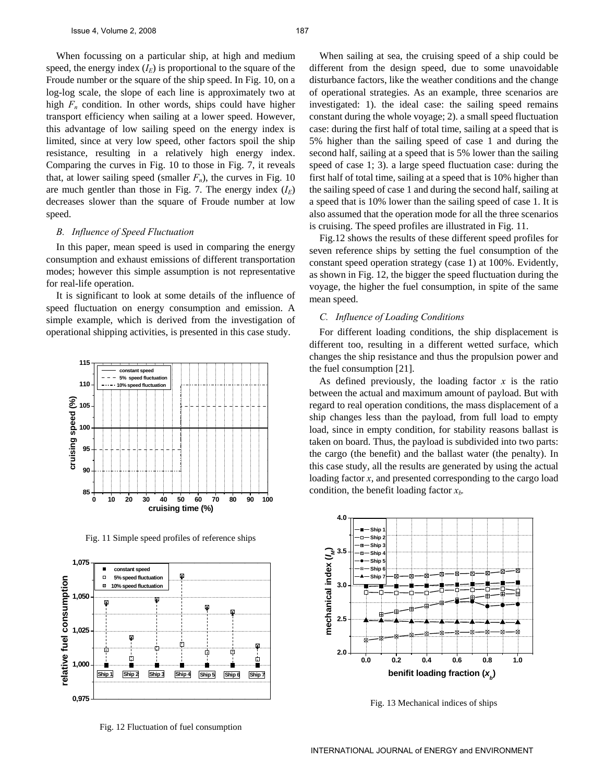When focussing on a particular ship, at high and medium speed, the energy index  $(I_E)$  is proportional to the square of the Froude number or the square of the ship speed. In Fig. 10, on a log-log scale, the slope of each line is approximately two at high  $F_n$  condition. In other words, ships could have higher transport efficiency when sailing at a lower speed. However, this advantage of low sailing speed on the energy index is limited, since at very low speed, other factors spoil the ship resistance, resulting in a relatively high energy index. Comparing the curves in Fig. 10 to those in Fig. 7, it reveals that, at lower sailing speed (smaller  $F_n$ ), the curves in Fig. 10 are much gentler than those in Fig. 7. The energy index  $(I_E)$ decreases slower than the square of Froude number at low speed.

#### *B. Influence of Speed Fluctuation*

In this paper, mean speed is used in comparing the energy consumption and exhaust emissions of different transportation modes; however this simple assumption is not representative for real-life operation.

It is significant to look at some details of the influence of speed fluctuation on energy consumption and emission. A simple example, which is derived from the investigation of operational shipping activities, is presented in this case study.



Fig. 11 Simple speed profiles of reference ships



Fig. 12 Fluctuation of fuel consumption

When sailing at sea, the cruising speed of a ship could be different from the design speed, due to some unavoidable disturbance factors, like the weather conditions and the change of operational strategies. As an example, three scenarios are investigated: 1). the ideal case: the sailing speed remains constant during the whole voyage; 2). a small speed fluctuation case: during the first half of total time, sailing at a speed that is 5% higher than the sailing speed of case 1 and during the second half, sailing at a speed that is 5% lower than the sailing speed of case 1; 3). a large speed fluctuation case: during the first half of total time, sailing at a speed that is 10% higher than the sailing speed of case 1 and during the second half, sailing at a speed that is 10% lower than the sailing speed of case 1. It is also assumed that the operation mode for all the three scenarios is cruising. The speed profiles are illustrated in Fig. 11.

Fig.12 shows the results of these different speed profiles for seven reference ships by setting the fuel consumption of the constant speed operation strategy (case 1) at 100%. Evidently, as shown in Fig. 12, the bigger the speed fluctuation during the voyage, the higher the fuel consumption, in spite of the same mean speed.

#### *C. Influence of Loading Conditions*

For different loading conditions, the ship displacement is different too, resulting in a different wetted surface, which changes the ship resistance and thus the propulsion power and the fuel consumption [21].

As defined previously, the loading factor  $x$  is the ratio between the actual and maximum amount of payload. But with regard to real operation conditions, the mass displacement of a ship changes less than the payload, from full load to empty load, since in empty condition, for stability reasons ballast is taken on board. Thus, the payload is subdivided into two parts: the cargo (the benefit) and the ballast water (the penalty). In this case study, all the results are generated by using the actual loading factor *x*, and presented corresponding to the cargo load condition, the benefit loading factor  $x<sub>b</sub>$ .



Fig. 13 Mechanical indices of ships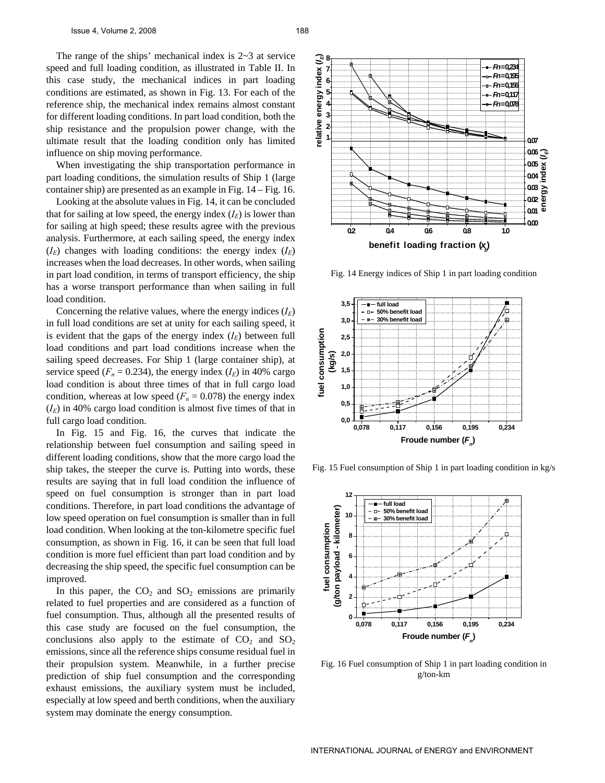The range of the ships' mechanical index is 2~3 at service speed and full loading condition, as illustrated in Table II. In this case study, the mechanical indices in part loading conditions are estimated, as shown in Fig. 13. For each of the reference ship, the mechanical index remains almost constant for different loading conditions. In part load condition, both the ship resistance and the propulsion power change, with the ultimate result that the loading condition only has limited influence on ship moving performance.

When investigating the ship transportation performance in part loading conditions, the simulation results of Ship 1 (large container ship) are presented as an example in Fig. 14 – Fig. 16.

Looking at the absolute values in Fig. 14, it can be concluded that for sailing at low speed, the energy index  $(I_F)$  is lower than for sailing at high speed; these results agree with the previous analysis. Furthermore, at each sailing speed, the energy index  $(I_E)$  changes with loading conditions: the energy index  $(I_E)$ increases when the load decreases. In other words, when sailing in part load condition, in terms of transport efficiency, the ship has a worse transport performance than when sailing in full load condition.

Concerning the relative values, where the energy indices  $(I_E)$ in full load conditions are set at unity for each sailing speed, it is evident that the gaps of the energy index  $(I_E)$  between full load conditions and part load conditions increase when the sailing speed decreases. For Ship 1 (large container ship), at service speed  $(F_n = 0.234)$ , the energy index  $(I_E)$  in 40% cargo load condition is about three times of that in full cargo load condition, whereas at low speed  $(F_n = 0.078)$  the energy index  $(I<sub>E</sub>)$  in 40% cargo load condition is almost five times of that in full cargo load condition.

In Fig. 15 and Fig. 16, the curves that indicate the relationship between fuel consumption and sailing speed in different loading conditions, show that the more cargo load the ship takes, the steeper the curve is. Putting into words, these results are saying that in full load condition the influence of speed on fuel consumption is stronger than in part load conditions. Therefore, in part load conditions the advantage of low speed operation on fuel consumption is smaller than in full load condition. When looking at the ton-kilometre specific fuel consumption, as shown in Fig. 16, it can be seen that full load condition is more fuel efficient than part load condition and by decreasing the ship speed, the specific fuel consumption can be improved.

In this paper, the  $CO<sub>2</sub>$  and  $SO<sub>2</sub>$  emissions are primarily related to fuel properties and are considered as a function of fuel consumption. Thus, although all the presented results of this case study are focused on the fuel consumption, the conclusions also apply to the estimate of  $CO<sub>2</sub>$  and  $SO<sub>2</sub>$ emissions, since all the reference ships consume residual fuel in their propulsion system. Meanwhile, in a further precise prediction of ship fuel consumption and the corresponding exhaust emissions, the auxiliary system must be included, especially at low speed and berth conditions, when the auxiliary system may dominate the energy consumption.



Fig. 14 Energy indices of Ship 1 in part loading condition



Fig. 15 Fuel consumption of Ship 1 in part loading condition in kg/s



Fig. 16 Fuel consumption of Ship 1 in part loading condition in g/ton-km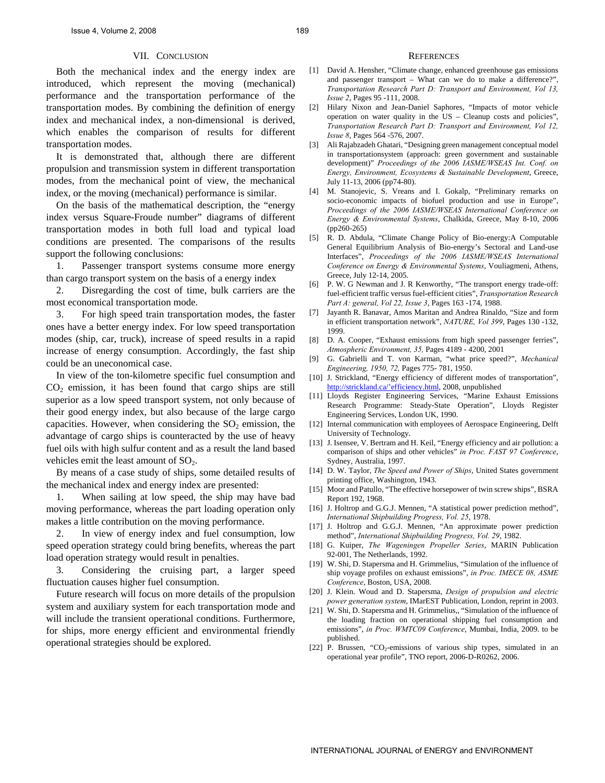# VII. CONCLUSION

Both the mechanical index and the energy index are introduced, which represent the moving (mechanical) performance and the transportation performance of the transportation modes. By combining the definition of energy index and mechanical index, a non-dimensional is derived, which enables the comparison of results for different transportation modes.

It is demonstrated that, although there are different propulsion and transmission system in different transportation modes, from the mechanical point of view, the mechanical index, or the moving (mechanical) performance is similar.

On the basis of the mathematical description, the "energy index versus Square-Froude number" diagrams of different transportation modes in both full load and typical load conditions are presented. The comparisons of the results support the following conclusions:

1. Passenger transport systems consume more energy than cargo transport system on the basis of a energy index

2. Disregarding the cost of time, bulk carriers are the most economical transportation mode.

3. For high speed train transportation modes, the faster ones have a better energy index. For low speed transportation modes (ship, car, truck), increase of speed results in a rapid increase of energy consumption. Accordingly, the fast ship could be an uneconomical case.

In view of the ton-kilometre specific fuel consumption and  $CO<sub>2</sub>$  emission, it has been found that cargo ships are still superior as a low speed transport system, not only because of their good energy index, but also because of the large cargo capacities. However, when considering the  $SO<sub>2</sub>$  emission, the advantage of cargo ships is counteracted by the use of heavy fuel oils with high sulfur content and as a result the land based vehicles emit the least amount of  $SO<sub>2</sub>$ .

By means of a case study of ships, some detailed results of the mechanical index and energy index are presented:

1. When sailing at low speed, the ship may have bad moving performance, whereas the part loading operation only makes a little contribution on the moving performance.

2. In view of energy index and fuel consumption, low speed operation strategy could bring benefits, whereas the part load operation strategy would result in penalties.

3. Considering the cruising part, a larger speed fluctuation causes higher fuel consumption.

Future research will focus on more details of the propulsion system and auxiliary system for each transportation mode and will include the transient operational conditions. Furthermore, for ships, more energy efficient and environmental friendly operational strategies should be explored.

#### **REFERENCES**

- [1] David A. Hensher, "Climate change, enhanced greenhouse gas emissions and passenger transport – What can we do to make a difference?", *Transportation Research Part D: Transport and Environment, Vol 13, Issue 2*, Pages 95 -111, 2008.
- [2] Hilary Nixon and Jean-Daniel Saphores, "Impacts of motor vehicle operation on water quality in the US – Cleanup costs and policies", *Transportation Research Part D: Transport and Environment, Vol 12, Issue 8*, Pages 564 -576, 2007.
- [3] Ali Rajabzadeh Ghatari, "Designing green management conceptual model in transportationsystem (approach: green government and sustainable development)" *Proceedings of the 2006 IASME/WSEAS Int. Conf. on Energy, Environment, Ecosystems & Sustainable Development*, Greece, July 11-13, 2006 (pp74-80).
- [4] M. Stanojevic, S. Vreans and I. Gokalp, "Preliminary remarks on socio-economic impacts of biofuel production and use in Europe", *Proceedings of the 2006 IASME/WSEAS International Conference on Energy & Environmental Systems*, Chalkida, Greece, May 8-10, 2006 (pp260-265)
- [5] R. D. Abdula, "Climate Change Policy of Bio-energy:A Computable General Equilibrium Analysis of Bio-energy's Sectoral and Land-use Interfaces", *Proceedings of the 2006 IASME/WSEAS International Conference on Energy & Environmental Systems*, Vouliagmeni, Athens, Greece, July 12-14, 2005.
- [6] P. W. G Newman and J. R Kenworthy, "The transport energy trade-off: fuel-efficient traffic versus fuel-efficient cities", *Transportation Research Part A: general, Vol 22, Issue 3*, Pages 163 -174, 1988.
- [7] Jayanth R. Banavar, Amos Maritan and Andrea Rinaldo, "Size and form in efficient transportation network", *NATURE, Vol 399*, Pages 130 -132, 1999.
- [8] D. A. Cooper, "Exhaust emissions from high speed passenger ferries", *Atmospheric Environment, 35,* Pages 4189 - 4200, 2001
- [9] G. Gabrielli and T. von Karman, "what price speed?", *Mechanical Engineering, 1950, 72,* Pages 775- 781, 1950.
- [10] J. Strickland, "Energy efficiency of different modes of transportation", [http://strickland.ca/'efficiency.html](http://strickland.ca/), 2008, unpublished
- [11] Lloyds Register Engineering Services, "Marine Exhaust Emissions Research Programme: Steady-State Operation", Lloyds Register Engineering Services, London UK, 1990.
- [12] Internal communication with employees of Aerospace Engineering, Delft University of Technology.
- [13] J. Isensee, V. Bertram and H. Keil, "Energy efficiency and air pollution: a comparison of ships and other vehicles" *in Proc. FAST 97 Conference*, Sydney, Australia, 1997.
- [14] D. W. Taylor, *The Speed and Power of Ships*, United States government printing office, Washington, 1943.
- [15] Moor and Patullo, "The effective horsepower of twin screw ships", BSRA Report 192, 1968.
- [16] J. Holtrop and G.G.J. Mennen, "A statistical power prediction method", *International Shipbuilding Progress, Vol. 25*, 1978.
- [17] J. Holtrop and G.G.J. Mennen, "An approximate power prediction method", *International Shipbuilding Progress, Vol. 29*, 1982.
- [18] G. Kuiper, *The Wageningen Propeller Series*, MARIN Publication 92-001, The Netherlands, 1992.
- [19] W. Shi, D. Stapersma and H. Grimmelius, "Simulation of the influence of ship voyage profiles on exhaust emissions", *in Proc. IMECE 08, ASME Conference*, Boston, USA, 2008.
- [20] J. Klein. Woud and D. Stapersma, *Design of propulsion and electric power generation system*, IMarEST Publication, London, reprint in 2003.
- [21] W. Shi, D. Stapersma and H. Grimmelius,, "Simulation of the influence of the loading fraction on operational shipping fuel consumption and emissions", *in Proc. WMTC09 Conference*, Mumbai, India, 2009. to be published.
- [22] P. Brussen, "CO<sub>2</sub>-emissions of various ship types, simulated in an operational year profile", TNO report, 2006-D-R0262, 2006.